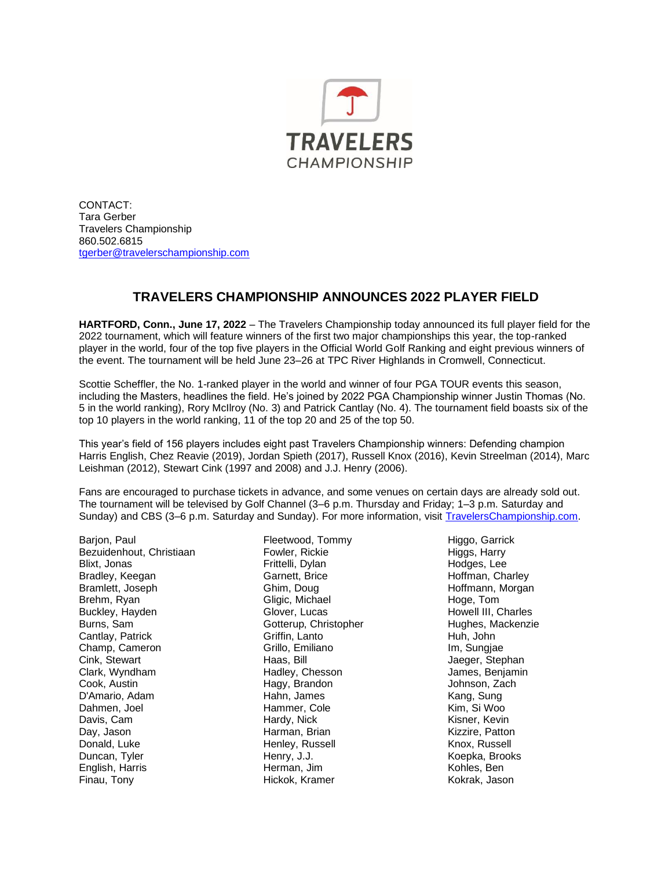

CONTACT: Tara Gerber Travelers Championship 860.502.6815 [tgerber@travelerschampionship.com](mailto:tgerber@travelerschampionship.com)

## **TRAVELERS CHAMPIONSHIP ANNOUNCES 2022 PLAYER FIELD**

**HARTFORD, Conn., June 17, 2022** – The Travelers Championship today announced its full player field for the 2022 tournament, which will feature winners of the first two major championships this year, the top-ranked player in the world, four of the top five players in the Official World Golf Ranking and eight previous winners of the event. The tournament will be held June 23–26 at TPC River Highlands in Cromwell, Connecticut.

Scottie Scheffler, the No. 1-ranked player in the world and winner of four PGA TOUR events this season, including the Masters, headlines the field. He's joined by 2022 PGA Championship winner Justin Thomas (No. 5 in the world ranking), Rory McIlroy (No. 3) and Patrick Cantlay (No. 4). The tournament field boasts six of the top 10 players in the world ranking, 11 of the top 20 and 25 of the top 50.

This year's field of 156 players includes eight past Travelers Championship winners: Defending champion Harris English, Chez Reavie (2019), Jordan Spieth (2017), Russell Knox (2016), Kevin Streelman (2014), Marc Leishman (2012), Stewart Cink (1997 and 2008) and J.J. Henry (2006).

Fans are encouraged to purchase tickets in advance, and some venues on certain days are already sold out. The tournament will be televised by Golf Channel (3–6 p.m. Thursday and Friday; 1–3 p.m. Saturday and Sunday) and CBS (3–6 p.m. Saturday and Sunday). For more information, visi[t TravelersChampionship.com.](https://travelerschampionship.com/)

Barjon, Paul Bezuidenhout, Christiaan Blixt, Jonas Bradley, Keegan Bramlett, Joseph Brehm, Ryan Buckley, Hayden Burns, Sam Cantlay, Patrick Champ, Cameron Cink, Stewart Clark, Wyndham Cook, Austin D'Amario, Adam Dahmen, Joel Davis, Cam Day, Jason Donald, Luke Duncan, Tyler English, Harris Finau, Tony

Fleetwood, Tommy Fowler, Rickie Frittelli, Dylan Garnett, Brice Ghim, Doug Gligic, Michael Glover, Lucas Gotterup, Christopher Griffin, Lanto Grillo, Emiliano Haas, Bill Hadley, Chesson Hagy, Brandon Hahn, James Hammer, Cole Hardy, Nick Harman, Brian Henley, Russell Henry, J.J. Herman, Jim Hickok, Kramer

Higgo, Garrick Higgs, Harry Hodges, Lee Hoffman, Charley Hoffmann, Morgan Hoge, Tom Howell III, Charles Hughes, Mackenzie Huh, John Im, Sungjae Jaeger, Stephan James, Benjamin Johnson, Zach Kang, Sung Kim, Si Woo Kisner, Kevin Kizzire, Patton Knox, Russell Koepka, Brooks Kohles, Ben Kokrak, Jason